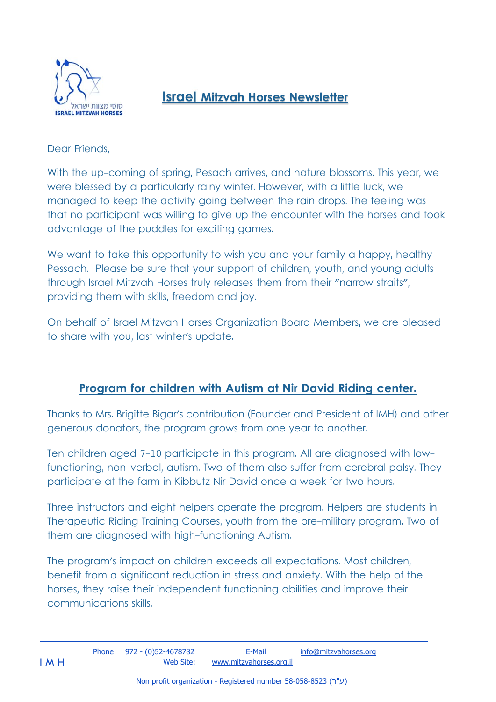

## **Israel Mitzvah Horses Newsletter**

Dear Friends,

With the up-coming of spring, Pesach arrives, and nature blossoms. This year, we were blessed by a particularly rainy winter. However, with a little luck, we managed to keep the activity going between the rain drops. The feeling was that no participant was willing to give up the encounter with the horses and took advantage of the puddles for exciting games.

We want to take this opportunity to wish you and your family a happy, healthy Pessach. Please be sure that your support of children, youth, and young adults through Israel Mitzvah Horses truly releases them from their "narrow straits", providing them with skills, freedom and joy.

On behalf of Israel Mitzvah Horses Organization Board Members, we are pleased to share with you, last winter's update.

## **Program for children with Autism at Nir David Riding center.**

Thanks to Mrs. Brigitte Bigar's contribution (Founder and President of IMH) and other generous donators, the program grows from one year to another.

Ten children aged 7-10 participate in this program. All are diagnosed with lowfunctioning, non-verbal, autism. Two of them also suffer from cerebral palsy. They participate at the farm in Kibbutz Nir David once a week for two hours.

Three instructors and eight helpers operate the program. Helpers are students in Therapeutic Riding Training Courses, youth from the pre-military program. Two of them are diagnosed with high-functioning Autism.

The program's impact on children exceeds all expectations. Most children, benefit from a significant reduction in stress and anxiety. With the help of the horses, they raise their independent functioning abilities and improve their communications skills.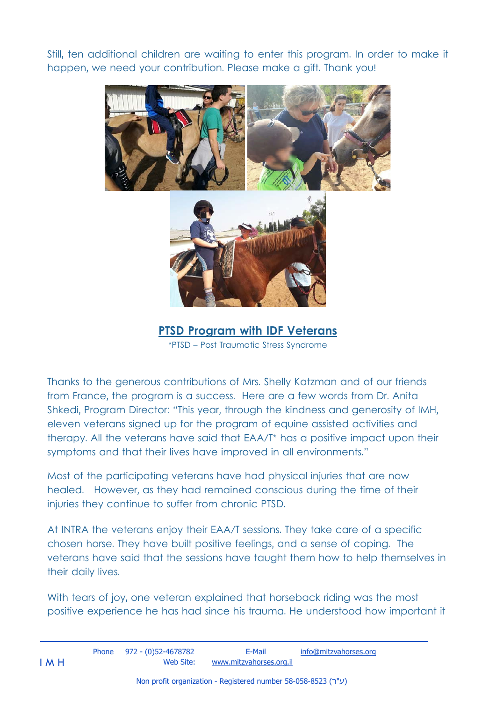Still, ten additional children are waiting to enter this program. In order to make it happen, we need your contribution. Please make a gift. Thank you!



**PTSD Program with IDF Veterans**  \*PTSD – Post Traumatic Stress Syndrome

Thanks to the generous contributions of Mrs. Shelly Katzman and of our friends from France, the program is a success. Here are a few words from Dr. Anita Shkedi, Program Director: "This year, through the kindness and generosity of IMH, eleven veterans signed up for the program of equine assisted activities and therapy. All the veterans have said that EAA/T\* has a positive impact upon their symptoms and that their lives have improved in all environments."

Most of the participating veterans have had physical injuries that are now healed. However, as they had remained conscious during the time of their injuries they continue to suffer from chronic PTSD.

At INTRA the veterans enjoy their EAA/T sessions. They take care of a specific chosen horse. They have built positive feelings, and a sense of coping. The veterans have said that the sessions have taught them how to help themselves in their daily lives.

With tears of joy, one veteran explained that horseback riding was the most positive experience he has had since his trauma. He understood how important it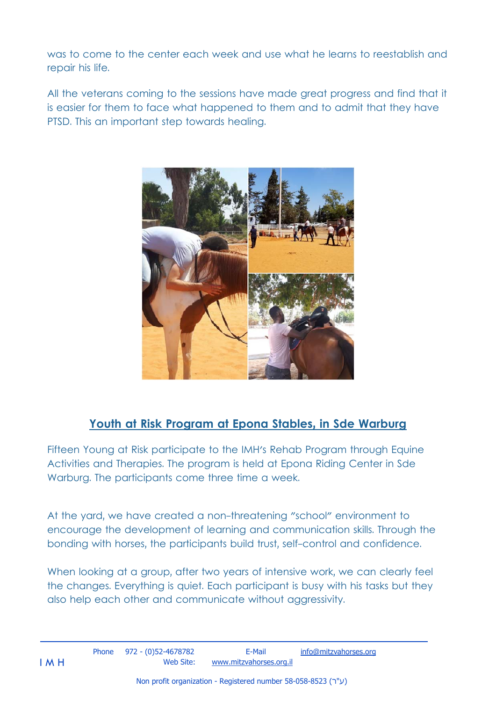was to come to the center each week and use what he learns to reestablish and repair his life.

All the veterans coming to the sessions have made great progress and find that it is easier for them to face what happened to them and to admit that they have PTSD. This an important step towards healing.



## **Youth at Risk Program at Epona Stables, in Sde Warburg**

Fifteen Young at Risk participate to the IMH's Rehab Program through Equine Activities and Therapies. The program is held at Epona Riding Center in Sde Warburg. The participants come three time a week.

At the yard, we have created a non-threatening "school" environment to encourage the development of learning and communication skills. Through the bonding with horses, the participants build trust, self-control and confidence.

When looking at a group, after two years of intensive work, we can clearly feel the changes. Everything is quiet. Each participant is busy with his tasks but they also help each other and communicate without aggressivity.